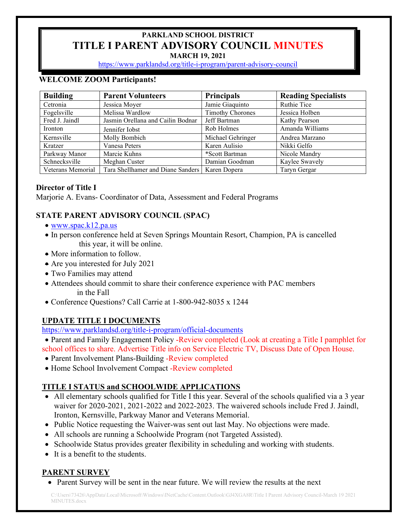# **PARKLAND SCHOOL DISTRICT TITLE I PARENT ADVISORY COUNCIL MINUTES**

**MARCH 19, 2021**

<https://www.parklandsd.org/title-i-program/parent-advisory-council>

## **WELCOME ZOOM Participants!**

| <b>Building</b>   | <b>Parent Volunteers</b>          | <b>Principals</b>       | <b>Reading Specialists</b> |
|-------------------|-----------------------------------|-------------------------|----------------------------|
| Cetronia          | Jessica Moyer                     | Jamie Giaquinto         | Ruthie Tice                |
| Fogelsville       | Melissa Wardlow                   | <b>Timothy Chorones</b> | Jessica Holben             |
| Fred J. Jaindl    | Jasmin Orellana and Cailin Bodnar | Jeff Bartman            | Kathy Pearson              |
| Ironton           | Jennifer Iobst                    | Rob Holmes              | Amanda Williams            |
| Kernsville        | Molly Bombich                     | Michael Gehringer       | Andrea Marzano             |
| Kratzer           | Vanesa Peters                     | Karen Aulisio           | Nikki Gelfo                |
| Parkway Manor     | Marcie Kuhns                      | *Scott Bartman          | Nicole Mandry              |
| Schnecksville     | Meghan Custer                     | Damian Goodman          | Kaylee Swavely             |
| Veterans Memorial | Tara Shellhamer and Diane Sanders | Karen Dopera            | Taryn Gergar               |

## **Director of Title I**

Marjorie A. Evans- Coordinator of Data, Assessment and Federal Programs

# **STATE PARENT ADVISORY COUNCIL (SPAC)**

- [www.spac.k12.pa.us](http://www.spac.k12.pa.us/)
- In person conference held at Seven Springs Mountain Resort, Champion, PA is cancelled this year, it will be online.
- More information to follow.
- Are you interested for July 2021
- Two Families may attend
- Attendees should commit to share their conference experience with PAC members in the Fall
- Conference Questions? Call Carrie at 1-800-942-8035 x 1244

# **UPDATE TITLE I DOCUMENTS**

<https://www.parklandsd.org/title-i-program/official-documents>

• Parent and Family Engagement Policy -Review completed (Look at creating a Title I pamphlet for school offices to share. Advertise Title info on Service Electric TV, Discuss Date of Open House.

- Parent Involvement Plans-Building -Review completed
- Home School Involvement Compact -Review completed

# **TITLE I STATUS and SCHOOLWIDE APPLICATIONS**

- All elementary schools qualified for Title I this year. Several of the schools qualified via a 3 year waiver for 2020-2021, 2021-2022 and 2022-2023. The waivered schools include Fred J. Jaindl, Ironton, Kernsville, Parkway Manor and Veterans Memorial.
- Public Notice requesting the Waiver-was sent out last May. No objections were made.
- All schools are running a Schoolwide Program (not Targeted Assisted).
- Schoolwide Status provides greater flexibility in scheduling and working with students.
- It is a benefit to the students.

### **PARENT SURVEY**

• Parent Survey will be sent in the near future. We will review the results at the next

C:\Users\73426\AppData\Local\Microsoft\Windows\INetCache\Content.Outlook\GJ4XGA8R\Title I Parent Advisory Council-March 19 2021 MINUTES.docx